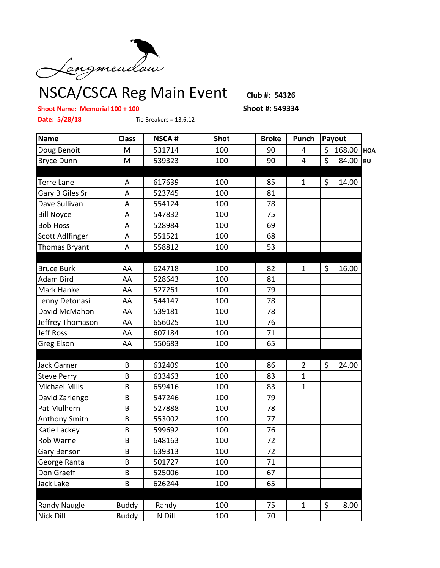

NSCA/CSCA Reg Main Event **Club #: 54326**

## **Shoot Name: Memorial 100 + 100 Shoot #: 549334**

**Date: 5/28/18** Tie Breakers = 13,6,12

| <b>Name</b>            | <b>Class</b> | <b>NSCA#</b> | <b>Shot</b> | <b>Broke</b> | Punch                   | Payout       |           |  |
|------------------------|--------------|--------------|-------------|--------------|-------------------------|--------------|-----------|--|
| Doug Benoit            | M            | 531714       | 100         | 90           | 4                       | \$<br>168.00 | HOA       |  |
| <b>Bryce Dunn</b>      | M            | 539323       | 100         | 90           | $\overline{\mathbf{4}}$ | \$<br>84.00  | <b>RU</b> |  |
|                        |              |              |             |              |                         |              |           |  |
| <b>Terre Lane</b>      | A            | 617639       | 100         | 85           | $\mathbf{1}$            | \$<br>14.00  |           |  |
| Gary B Giles Sr        | A            | 523745       | 100         | 81           |                         |              |           |  |
| Dave Sullivan          | A            | 554124       | 100         | 78           |                         |              |           |  |
| <b>Bill Noyce</b>      | A            | 547832       | 100         | 75           |                         |              |           |  |
| <b>Bob Hoss</b>        | Α            | 528984       | 100         | 69           |                         |              |           |  |
| <b>Scott Adlfinger</b> | A            | 551521       | 100         | 68           |                         |              |           |  |
| Thomas Bryant          | A            | 558812       | 100         | 53           |                         |              |           |  |
|                        |              |              |             |              |                         |              |           |  |
| <b>Bruce Burk</b>      | AA           | 624718       | 100         | 82           | $\mathbf{1}$            | \$<br>16.00  |           |  |
| Adam Bird              | AA           | 528643       | 100         | 81           |                         |              |           |  |
| Mark Hanke             | AA           | 527261       | 100         | 79           |                         |              |           |  |
| Lenny Detonasi         | AA           | 544147       | 100         | 78           |                         |              |           |  |
| David McMahon          | AA           | 539181       | 100         | 78           |                         |              |           |  |
| Jeffrey Thomason       | AA           | 656025       | 100         | 76           |                         |              |           |  |
| <b>Jeff Ross</b>       | AA           | 607184       | 100         | 71           |                         |              |           |  |
| Greg Elson             | AA           | 550683       | 100         | 65           |                         |              |           |  |
|                        |              |              |             |              |                         |              |           |  |
| <b>Jack Garner</b>     | B            | 632409       | 100         | 86           | $\overline{2}$          | \$<br>24.00  |           |  |
| <b>Steve Perry</b>     | B            | 633463       | 100         | 83           | $\mathbf{1}$            |              |           |  |
| <b>Michael Mills</b>   | B            | 659416       | 100         | 83           | $\mathbf{1}$            |              |           |  |
| David Zarlengo         | B            | 547246       | 100         | 79           |                         |              |           |  |
| Pat Mulhern            | B            | 527888       | 100         | 78           |                         |              |           |  |
| Anthony Smith          | B            | 553002       | 100         | 77           |                         |              |           |  |
| Katie Lackey           | B            | 599692       | 100         | 76           |                         |              |           |  |
| Rob Warne              | B            | 648163       | 100         | 72           |                         |              |           |  |
| Gary Benson            | B            | 639313       | 100         | 72           |                         |              |           |  |
| George Ranta           | B            | 501727       | 100         | 71           |                         |              |           |  |
| Don Graeff             | B            | 525006       | 100         | 67           |                         |              |           |  |
| Jack Lake              | B            | 626244       | 100         | 65           |                         |              |           |  |
|                        |              |              |             |              |                         |              |           |  |
| <b>Randy Naugle</b>    | Buddy        | Randy        | 100         | 75           | $\mathbf 1$             | \$<br>8.00   |           |  |
| Nick Dill              | <b>Buddy</b> | N Dill       | 100         | 70           |                         |              |           |  |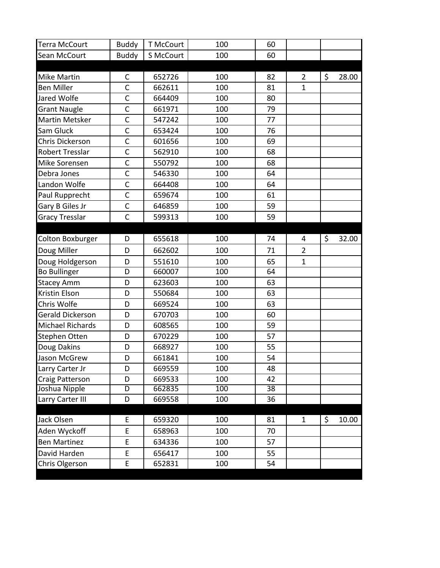| <b>Terra McCourt</b>    | <b>Buddy</b>   | <b>T McCourt</b> | 100 | 60 |                |             |
|-------------------------|----------------|------------------|-----|----|----------------|-------------|
| Sean McCourt            | <b>Buddy</b>   | S McCourt        | 100 | 60 |                |             |
|                         |                |                  |     |    |                |             |
| <b>Mike Martin</b>      | $\mathsf{C}$   | 652726           | 100 | 82 | $\overline{2}$ | \$<br>28.00 |
| <b>Ben Miller</b>       | $\mathsf{C}$   | 662611           | 100 | 81 | $\mathbf{1}$   |             |
| Jared Wolfe             | $\mathsf{C}$   | 664409           | 100 | 80 |                |             |
| <b>Grant Naugle</b>     | $\mathsf{C}$   | 661971           | 100 | 79 |                |             |
| <b>Martin Metsker</b>   | $\overline{C}$ | 547242           | 100 | 77 |                |             |
| Sam Gluck               | $\mathsf{C}$   | 653424           | 100 | 76 |                |             |
| Chris Dickerson         | $\mathsf{C}$   | 601656           | 100 | 69 |                |             |
| <b>Robert Tresslar</b>  | $\mathsf{C}$   | 562910           | 100 | 68 |                |             |
| Mike Sorensen           | $\overline{C}$ | 550792           | 100 | 68 |                |             |
| Debra Jones             | $\mathsf{C}$   | 546330           | 100 | 64 |                |             |
| Landon Wolfe            | $\mathsf{C}$   | 664408           | 100 | 64 |                |             |
| Paul Rupprecht          | $\mathsf{C}$   | 659674           | 100 | 61 |                |             |
| Gary B Giles Jr         | $\mathsf{C}$   | 646859           | 100 | 59 |                |             |
| <b>Gracy Tresslar</b>   | $\mathsf{C}$   | 599313           | 100 | 59 |                |             |
|                         |                |                  |     |    |                |             |
| Colton Boxburger        | D              | 655618           | 100 | 74 | 4              | \$<br>32.00 |
| Doug Miller             | D              | 662602           | 100 | 71 | $\overline{2}$ |             |
| Doug Holdgerson         | D              | 551610           | 100 | 65 | $\mathbf{1}$   |             |
| <b>Bo Bullinger</b>     | D              | 660007           | 100 | 64 |                |             |
| <b>Stacey Amm</b>       | D              | 623603           | 100 | 63 |                |             |
| Kristin Elson           | D              | 550684           | 100 | 63 |                |             |
| Chris Wolfe             | D              | 669524           | 100 | 63 |                |             |
| <b>Gerald Dickerson</b> | D              | 670703           | 100 | 60 |                |             |
| <b>Michael Richards</b> | D              | 608565           | 100 | 59 |                |             |
| Stephen Otten           | D              | 670229           | 100 | 57 |                |             |
| Doug Dakins             | D              | 668927           | 100 | 55 |                |             |
| Jason McGrew            | D              | 661841           | 100 | 54 |                |             |
| Larry Carter Jr         | D              | 669559           | 100 | 48 |                |             |
| Craig Patterson         | D              | 669533           | 100 | 42 |                |             |
| Joshua Nipple           | D              | 662835           | 100 | 38 |                |             |
| Larry Carter III        | D              | 669558           | 100 | 36 |                |             |
|                         |                |                  |     |    |                |             |
| Jack Olsen              | E              | 659320           | 100 | 81 | $\mathbf{1}$   | \$<br>10.00 |
| Aden Wyckoff            | E              | 658963           | 100 | 70 |                |             |
| <b>Ben Martinez</b>     | E              | 634336           | 100 | 57 |                |             |
| David Harden            | E              | 656417           | 100 | 55 |                |             |
| Chris Olgerson          | E              | 652831           | 100 | 54 |                |             |